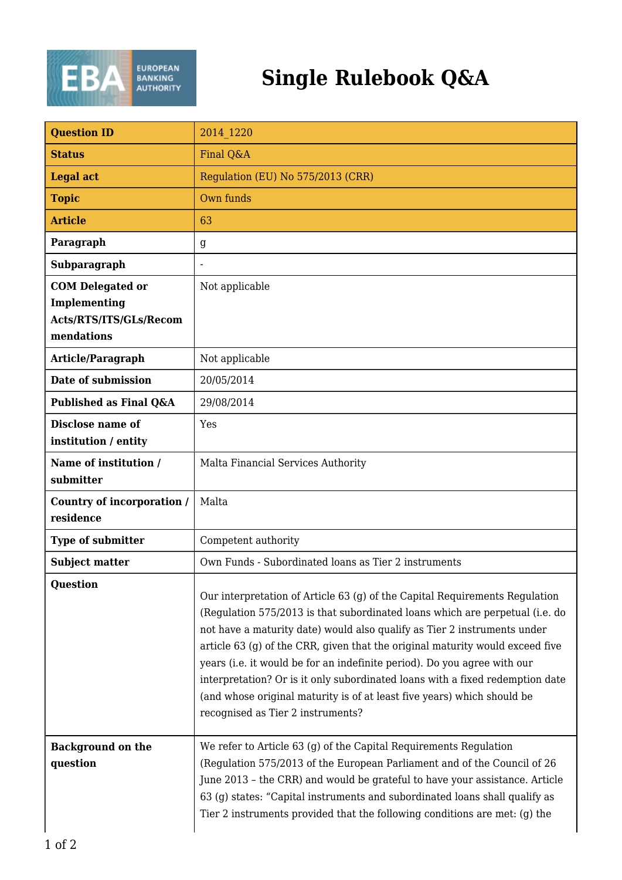

## **Single Rulebook Q&A**

| <b>Question ID</b>                                                              | 2014 1220                                                                                                                                                                                                                                                                                                                                                                                                                                                                                                                                                                                             |
|---------------------------------------------------------------------------------|-------------------------------------------------------------------------------------------------------------------------------------------------------------------------------------------------------------------------------------------------------------------------------------------------------------------------------------------------------------------------------------------------------------------------------------------------------------------------------------------------------------------------------------------------------------------------------------------------------|
| <b>Status</b>                                                                   | Final Q&A                                                                                                                                                                                                                                                                                                                                                                                                                                                                                                                                                                                             |
| <b>Legal act</b>                                                                | Regulation (EU) No 575/2013 (CRR)                                                                                                                                                                                                                                                                                                                                                                                                                                                                                                                                                                     |
| <b>Topic</b>                                                                    | Own funds                                                                                                                                                                                                                                                                                                                                                                                                                                                                                                                                                                                             |
| <b>Article</b>                                                                  | 63                                                                                                                                                                                                                                                                                                                                                                                                                                                                                                                                                                                                    |
| Paragraph                                                                       | g                                                                                                                                                                                                                                                                                                                                                                                                                                                                                                                                                                                                     |
| Subparagraph                                                                    |                                                                                                                                                                                                                                                                                                                                                                                                                                                                                                                                                                                                       |
| <b>COM Delegated or</b><br>Implementing<br>Acts/RTS/ITS/GLs/Recom<br>mendations | Not applicable                                                                                                                                                                                                                                                                                                                                                                                                                                                                                                                                                                                        |
| Article/Paragraph                                                               | Not applicable                                                                                                                                                                                                                                                                                                                                                                                                                                                                                                                                                                                        |
| Date of submission                                                              | 20/05/2014                                                                                                                                                                                                                                                                                                                                                                                                                                                                                                                                                                                            |
| Published as Final Q&A                                                          | 29/08/2014                                                                                                                                                                                                                                                                                                                                                                                                                                                                                                                                                                                            |
| Disclose name of<br>institution / entity                                        | Yes                                                                                                                                                                                                                                                                                                                                                                                                                                                                                                                                                                                                   |
| Name of institution /<br>submitter                                              | Malta Financial Services Authority                                                                                                                                                                                                                                                                                                                                                                                                                                                                                                                                                                    |
| Country of incorporation /<br>residence                                         | Malta                                                                                                                                                                                                                                                                                                                                                                                                                                                                                                                                                                                                 |
| Type of submitter                                                               | Competent authority                                                                                                                                                                                                                                                                                                                                                                                                                                                                                                                                                                                   |
| <b>Subject matter</b>                                                           | Own Funds - Subordinated loans as Tier 2 instruments                                                                                                                                                                                                                                                                                                                                                                                                                                                                                                                                                  |
| <b>Question</b>                                                                 | Our interpretation of Article 63 (g) of the Capital Requirements Regulation<br>(Regulation 575/2013 is that subordinated loans which are perpetual (i.e. do<br>not have a maturity date) would also qualify as Tier 2 instruments under<br>article 63 (g) of the CRR, given that the original maturity would exceed five<br>years (i.e. it would be for an indefinite period). Do you agree with our<br>interpretation? Or is it only subordinated loans with a fixed redemption date<br>(and whose original maturity is of at least five years) which should be<br>recognised as Tier 2 instruments? |
| <b>Background on the</b><br>question                                            | We refer to Article 63 (g) of the Capital Requirements Regulation<br>(Regulation 575/2013 of the European Parliament and of the Council of 26<br>June 2013 - the CRR) and would be grateful to have your assistance. Article<br>63 (g) states: "Capital instruments and subordinated loans shall qualify as<br>Tier 2 instruments provided that the following conditions are met: (g) the                                                                                                                                                                                                             |